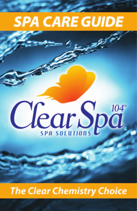# **SPA CARE GUIDE**

# Clear Spa

# **The Clear Chemistry Choice**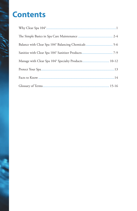# **Contents**

| Manage with Clear Spa 104° Specialty Products 10-12 |
|-----------------------------------------------------|
|                                                     |
|                                                     |
|                                                     |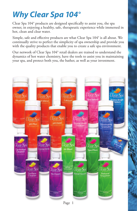# **Why Clear Spa 104°**

Clear Spa 104° products are designed specifically to assist you, the spa owner, in enjoying a healthy, safe, therapeutic experience while immersed in hot, clean and clear water.

Simple, safe and effective products are what Clear Spa 104° is all about. We continually strive to perfect the simplicity of spa ownership and provide you with the quality products that enable you to create a safe spa environment.

Our network of Clear Spa 104° retail dealers are trained to understand the dynamics of hot water chemistry, have the tools to assist you in maintaining your spa, and protect both you, the bather, as well as your investment.



Page 1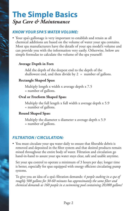# **The Simple Basics** *Spa Care & Maintenance*

#### **KNOW YOUR SPA'S WATER VOLUME:**

• Your spa's gallonage is very important to establish and retain as all chemical additions are based on the volume of water your spa contains. Most spa manufacturers have the details of your spa model's volume and can provide you with the information very easily. Otherwise, below are simple formulas to calculate the volume of the spa yourself:

#### **Average Depth in Feet:**

Add the depth of the deepest end to the depth of the shallowest end, and then divide by  $2 =$  number of gallons.

#### **Rectangle Shaped Spas:**

Multiply length x width x average depth x 7.5 = number of gallons.

#### **Oval or Freeform Shaped Spas:**

Multiply the full length x full width x average depth x 5.9 = number of gallons.

#### **Round Shaped Spas:**

Multiply the diameter x diameter x average depth x 5.9 = number of gallons.

#### **FILTRATION / CIRCULATION:**

• You must circulate your spa water daily to ensure that filterable debris is removed and deposited in the filter system and that desired products remain mixed throughout the entire body of water. Filtration and circulation go hand-in-hand to assure your spa water stays clear, safe and usable anytime.

Set your spa control to operate a minimum of 3 hours per day; longer time is better, especially for spas equipped with energy efficient circulating pump systems.

To give you an idea of a spa's filtration demands: 4 *people soaking in a spa of* roughly 500 gallons for 30-60 minutes has approximately the same filter and *chemical demands as 160 people in a swimming pool containing 20,000 gallons!*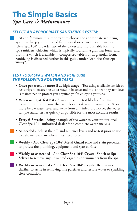# **The Simple Basics** *Spa Care & Maintenance*

#### **SELECT AN APPROPRIATE SANITIZING SYSTEM:**

First and foremost it is important to choose the appropriate sanitizing system to keep you protected from waterborne bacteria and viruses. Clear Spa 104° provides two of the oldest and most reliable forms of spa sanitizers: chlorine which is typically found in a granular form, and bromine which is available in compressed tablets or in granular form. Sanitizing is discussed further in this guide under "Sanitize Your Spa Water".

#### **TEST YOUR SPA'S WATER AND PERFORM THE FOLLOWING ROUTINE TASKS**

- **Once per week or more if at high usage -** Test using a reliable test kit or test strips to ensure the water stays in balance and the sanitizing system level is maintained to protect you anytime you're enjoying your spa.
- **When using at Test Kit** Always rinse the test block a few times prior to water testing. Be sure that samples are taken approximately 18" or more below water level and away from any inlet. Do not let the water sample stand; test as quickly as possible for the most accurate results.
- **Every 6-8 weeks** Bring a sample of spa water to your professional Clear Spa 104° authorized dealer for a complete water analysis.
- **As needed -** Adjust the pH and sanitizer levels and re-test prior to use to validate levels are where they need to be.
- **Weekly -** Add **Clear Spa 104° Metal Guard** scale and stain preventer to protect the plumbing, equipment and spa's surface.
- **Weekly or as needed** Add **Clear Spa 104° Crystal Shock** or **Spa**  Seltzer to remove any unwanted organic contaminants from the spa.
- **Weekly or as needed** Add **Clear Spa 104° Crystal Brite** water clarifier to assist in removing fine particles and restore water to sparkling clear condition.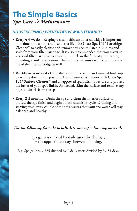# **The Simple Basics** *Spa Care & Maintenance*

#### **HOUSEKEEPING / PREVENTATIVE MAINTENANCE:**

- **Every 4-6 weeks -** Keeping a clean, efficient filter cartridge is important in maintaining a long and useful spa life. Use **Clear Spa 104° Cartridge Cleaner™** to easily cleanse and remove any accumulated oils, films and scale from your filter cartridge. It is also recommended that you invest in a second filter cartridge to enable you to clean the filter at your leisure, providing seamless operation. These simple measures will help extend the life of the filter cartridge as well.
- **Weekly or as needed** Clear the waterline of scum and mineral build-up by wiping down the exposed surface of your spa's interior with **Clear Spa 104° Surface Cleaner™** and an approved spa polish to restore and protect the luster of your spa's finish. As needed, skim the surface and remove any physical debris from the spa.
- **Every 2-3 months** Drain the spa and clean the interior surface to protect the spa finish and begin a fresh chemistry cycle. Draining and starting fresh every couple of months assures that your spa water will stay balanced and healthy.

#### *Use the following formula to help determine spa draining intervals:*

Spa gallons divided by daily users divided by 3 = the approximate days between draining.

E.g. Spa gallons =  $325$  divided by 2 daily users divided by  $3 = 54$  days.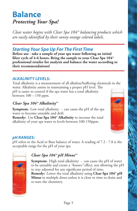## **Balance** *Protecting Your Spa!*

*Clear water begins with Clear Spa 104° balancing products which are easily identified by their sunny orange colored labels.* 

#### **Starting Your Spa Up For The First Time**

**Before use - take a sample of your spa water following an initial**  filter cycle of 4-6 hours. Bring the sample to your Clear Spa 104° **professional retailer for analysis and balance the water according to their recommendations!**

#### **ALKALINITY LEVELS:**

Total alkalinity is a measurement of all alkaline/buffering chemicals in the water. Alkalinity assists in maintaining a proper pH level. The pH is easier to control if the spa water has a total alkalinity between 100 – 150 ppm.

#### *Clear Spa 104° Alkalinity***™**

**Symptom:** Low total alkalinity - can cause the pH of the spa water to become unstable and drift.

**Remedy:** Use **Clear Spa 104° Alkalinity** to increase the total alkalinity of your spa water to levels between 100-150ppm.



#### **pH RANGES:**

pH refers to the Acid or Base balance of water. A reading of 7.2 - 7.8 is the acceptable range for the pH of your spa.



#### *Clear Spa 104° pH Minus***™**

**Symptom:** High total alkalinity - can cause the pH of water to be unstable and create a "*bounce*" effect, not allowing the pH to stay adjusted for any significant period of time.

**Remedy:** Lower the total alkalinity using **Clear Spa 104° pH Minus** in multiple doses unless it is close to time to drain and re-start the chemistry.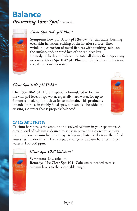## **Balance** *Protecting Your Spa! Continued...*



#### *Clear Spa 104° pH Plus***™**

**Symptom:** Low pH. A low pH (below 7.2) can cause: burning eyes, skin irritation, etching of the interior surface, liner wrinkling, corrosion of metal fixtures with resulting stains on the surface, and/or rapid loss of the sanitizer level. **Remedy:** Check and balance the total alkalinity first. Apply any necessary **Clear Spa 104° pH Plus** in multiple doses to increase the pH of your spa water.

#### *Clear Spa 104° pH Hold***™**

**Clear Spa 104° pH Hold** is specially formulated to lock in the vital pH level of spa water, especially hard water, for up to 3 months, making it much easier to maintain. This product is intended for use in freshly filled spas, but can also be added to existing spa water that is properly balanced.



#### **CALCIUM LEVELS:**

Calcium hardness is the amount of dissolved calcium in your spa water. A certain level of calcium is desired to assist in preventing corrosive activity. However, low calcium hardness may etch your plaster or decrease the life of your spa's interior finish. The acceptable range of calcium hardness in spa water is 150-300 ppm.



#### *Clear Spa 104° Calcium***™**

**Symptom:** Low calcium **Remedy:** Use **Clear Spa 104° Calcium** as needed to raise calcium levels to the acceptable range.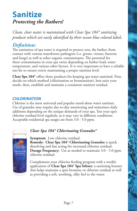# **Sanitize** *Protecting the Bathers!*

*Clean, clear water is maintained with Clear Spa 104° sanitizing products which are easily identified by their ocean blue colored labels.* 

#### *Defi nition:*

The sanitation of spa water is required to protect you, the bather, from contact with various waterborne pathogens (i.e. germs, viruses, bacteria and fungi) as well as other organic contaminants. The potential for these contaminants in your spa varies depending on bather load, water temperature, and various other factors. It is very important to have a reliable test kit to ensure you're maintaining a proper sanitizer level.

**Clear Spa 104°** offers three products for keeping spa water sanitized. First, decide on which method (chlorination or bromination), best suits your needs, then, establish and maintain a consistent sanitizer residual.

#### **CHLORINATION**

Chlorine is the most universal and popular stand-alone water sanitizer. Use of granules may require day-to-day monitoring and sometimes daily additions depending on the unique demands of your spa. Test your spa's chlorine residual level regularly, as it may vary in different conditions. Acceptable residential spa ranges are from 3.0 - 5.0 ppm.



#### *Clear Spa 104° Chlorinating Granules***™**

**Symptom:** Low chlorine residual. **Remedy: Clear Spa 104° Chlorinating Granules** is quick dissolving and fast acting for increased chlorine residual. **Dosage Frequency:** Use as needed to maintain 3.0 - 5.0 ppm chlorine residual.

Complement your chlorine feeding program with a weekly application of **Clear Spa 104° Spa Seltzer**; a sanitizing booster that helps maintain a spa's bromine or chlorine residual as well as providing a soft, soothing, silky feel to the water.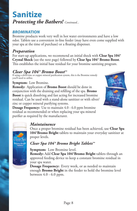## **Sanitize** *Protecting the Bathers! Continued...*

#### **BROMINATION**

Bromine products work very well in hot water environments and have a low odor. Tablets use a convenient in-line feeder (may have even come supplied with your spa at the time of purchase) or a floating dispenser.

#### *Preparation*

For start-up applications, we recommend an initial shock with **Clear Spa 104° Crystal Shock** (see the next page) followed by **Clear Spa 104° Bromo Boost**. This establishes the initial base residual for your bromine santizing program.

*Clear Spa 104° Bromo Boost*<sup>™</sup><br>If using a silver/zinc or copper mineral purification system, this is the Bromine remedy you'll need to utilize.

#### **Symptom:** Low Bromine.

**Remedy:** Application of **Bromo Boost** should be done in conjunction with the draining and refilling of the spa. **Bromo Boost** is quick dissolving and fast acting for increased bromine residual. Can be used with a stand-alone sanitizer or with silver/ zinc or copper mineral purifying systems.



**Dosage Frequency:** Use to maintain 4.0 - 6.0 ppm bromine residual as recommended or when replacing your spa mineral purifier as required by the manufacturer.

#### *Maintainence*

Once a proper bromine residual has been achieved, use **Clear Spa 104°Bromo Bright** tablets to maintain your everyday sanitizer at proper levels.

#### *Clear Spa 104° Bromo Bright Tablets***™**

**Symptom:** Low Bromine level.

**Remedy:** Add **Clear Spa 104°Bromo Bright** tablets through an approved feeding device to keep a constant bromine residual in your spa water.

**Dosage Frequency:** Every week, or as needed to maintain enough **Bromo Bright** in the feeder to hold the bromine level between 4.0 - 6.0 ppm.

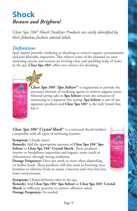# **Shock** *Restore and Brighten!*

*Clear Spa 104° Shock Oxidizer Products are easily identified by their fabulous fuchsia colored labels.*

#### *Defi nition:*

Spas require periodic oxidizing or shocking to remove organic contaminants and non-filterable impurities. This relieves some of the demand on your sanitizing system and restores an inviting clear and sparkling body of water to the spa. **Clear Spa 104°** offers two choices for shocking:



*Clear Spa 104° Spa Seltzer***™** is engineered to provide the necessary amount of oxidizing agents to remove organic waste. Mineral spring salts in **Spa Seltzer** create the sensation of immersing in a Japanese hot spring. **Spa Seltzer** is one of our signature products and **Clear Spa 104°** is the only brand that has it.

*Clear Spa 104° Crystal Shock***™** is a universal shock/oxidizer compatible with all types of sanitizing systems.

#### **Symptom:** Cloudy water.

**Remedy:** Add the appropriate amount of **Clear Spa 104° Spa**  Seltzer or Clear Spa 104° Crystal Shock. These products remove or breakdown impurities and organic waste (such as chloramines) through strong oxidation.

**Dosage Frequency:** Once per week or more often depending on bather loads. These products will also assist in boosting your bromine or chlorine levels to assure a bacteria and virus free hot water environment.

**Symptom:** Chemical/musty odor in the spa. **Remedy:** Add **Clear Spa 104° Spa Seltzer** or **Clear Spa 104° Crystal Shock** in sufficient quantity to remove offensive odors. **Dosage Frequency:** As needed.

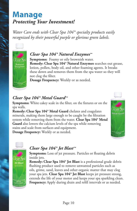## **Manage** *Protecting Your Investment!*

*Water Care ends with Clear Spa 104° specialty products easily recognized by their powerful purple or glorious green labels.*



#### *Clear Spa 104° Natural Enzymes***™**

**Symptoms:** Foamy or oily brownish water. **Remedy: Clear Spa 104° Natural Enzymes** searches out grease, lotion, pollen, body oil, and other foaming agents. It breaks these down and removes them from the spa water so they will not clog the filter.

**Dosage Frequency:** Weekly or as needed.

#### *Clear Spa 104° Metal Guard***™**

**Symptoms:** White cakey scale in the filter, on the fixtures or on the spa walls.

Remedy: Clear Spa 104° Metal Guard chelates and coagulates minerals, making them large enough to be caught by the filtration system while removing them from the water. **Clear Spa 104° Metal Guard** also lowers the calcium levels of the spa while removing stains and scale from surfaces and equipment. **Dosage Frequency:** Weekly or as needed.





#### *Clear Spa 104° Jet Blast***™**

**Symptoms:** Loss of jet pressure. Particles or floating debris inside jets.

**Remedy: Clear Spa 104° Jet Blast** is a professional grade debris flushing product used to remove unwanted particles such as oils, grime, sand, leaves and other organic matter that may clog your spa jets. **Clear Spa 104° Jet Blast** keeps jet pressure strong, extends the life of your motor and keeps your spa sparkling clean. Frequency: Apply during drain and refill intervals or as needed.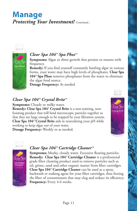## **Manage** *Protecting Your Investment! Continued...*



#### *Clear Spa 104° Spa Phos***™**

**Symptoms:** Algae or slime growth that persists or returns with frequency.

**Remedy:** If you find yourself constantly battling algae in various forms, your water may have high levels of phosphates. **Clear Spa 104° Spa Phos** removes phosphates from the water to eliminate the algae food source.

**Dosage Frequency:** As needed.

#### *Clear Spa 104° Crystal Brite***™**

**Symptoms:** Cloudy or milky water.

**Remedy: Clear Spa 104° Crystal Brite** is a non-staining, nonfoaming product that will bind microscopic particles together so that they are large enough to be trapped by your filtration system. **Clear Spa 104° Crystal Brite** aids in neutralizing your pH while working to keep algae out of your water. **Dosage Frequency:** Weekly or as needed.





#### *Clear Spa 104° Cartridge Cleaner***™**

**Symptoms:** Murky, cloudy water. Excessive floating particles. **Remedy: Clear Spa 104° Cartridge Cleaner** is a professional grade filter cleaning product used to remove particles such as oil, grime, sand and other organic matter from filter cartridges. **Clear Spa 104° Cartridge Cleaner** can be used as a spray, backwash or soaking agent for your filter cartridges, thus freeing the filter of contaminants that may clog and reduce its efficiency. **Frequency:** Every 4-6 weeks.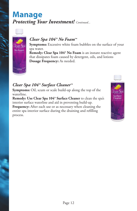## **Manage** *Protecting Your Investment! Continued...*



#### *Clear Spa 104° No Foam***™**

**Symptoms:** Excessive white foam bubbles on the surface of your spa water.

**Remedy: Clear Spa 104° No Foam** is an instant reactive agent that dissipates foam caused by detergent, oils, and lotions **Dosage Frequency:** As needed.

#### *Clear Spa 104° Surface Cleaner***™**

**Symptoms:** Oil, scum or scale build-up along the top of the waterline.

**Remedy: Use Clear Spa 104° Surface Cleaner** to clean the spa's interior surface waterline and aid in preventing build-up. **Frequency:** After each use or as necessary when cleaning the entire spa interior surface during the draining and refilling process.

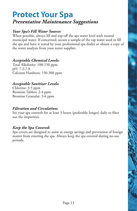### **Protect Your Spa** *Preventative Maintenance Suggestions*

#### *Your Spa's Fill Water Source:*

When possible, always fill and top-off the spa water level with treated municipal water. If concerned, secure a sample of the tap water used to fill the spa and have it tested by your professional spa dealer or obtain a copy of the water analysis from your water supplier.

#### *Acceptable Chemical Levels:*

Total Alkalinity: 100-150 ppm pH: 7.2-7.8 Calcium Hardness: 150-300 ppm

#### *Acceptable Sanitizer Levels:*

Chlorine: 3-5 ppm Bromine Tablets: 2-4 ppm Bromine Granular: 3-6 ppm

#### *Filtration and Circulation:*

Set your spa controls for at least 3 hours (preferably longer) daily to filter out the impurities.

#### *Keep the Spa Covered:*

Spa covers are designed to assist in energy savings and prevention of foreign matter from entering the spa. Always keep the spa covered during no-use periods.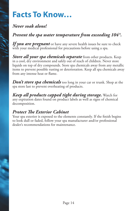# **Facts To Know…**

#### *Never soak alone!*

#### *Prevent the spa water temperature from exceeding 104°.*

*If you are pregnant* or have any severe health issues be sure to check with your medical professional for precautions before using a spa.

*Store all your spa chemicals separate* from other products. Keep in a cool, dry environment and safely out of reach of children. Never store liquids on top of dry compounds. Store spa chemicals away from any metallic items to prevent possible rusting or deterioration. Keep all spa chemicals away from any intense heat or flame.

*Don't store spa chemicals* too long in your car or trunk. Shop at the spa store last to prevent overheating of products.

*Keep all products capped tight during storage.* Watch for any expiration dates found on product labels as well as signs of chemical decomposition.

#### *Protect The Exterior Cabinet*

Your spa exterior is exposed to the elements constantly. If the finish begins to look dull or faded, follow your spa manufacturer and/or professional dealer's recommendations for maintenance.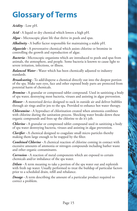# **Glossary of Terms**

*Acidity* - Low pH.

*Acid -* A liquid or dry chemical which lowers a high pH.

*Algae -* Microscopic plant life that thrive in pools and spas.

Alkalinity - A buffer factor responsible for maintaining a stable pH.

*Algaecide -* A preventative chemical which assists chlorine or bromine in controlling the growth and reproduction of algae.

*Bacteria -* Microscopic organisms which are introduced to pools and spas from animals, the atmosphere, and people. Some bacteria is known to cause light to severe irritation, infections, or illness.

*Balanced Water -* Water which has been chemically adjusted to industry standards.

*Broadcasting -* To add/disperse a chemical directly out into the deepest portion of the spa. Make sure eyes, face and other exposed body parts are protected from potential harm of chemicals.

*Bromine -* A granular or compressed tablet compound. Used in sanitizing a body of spa water, destroying most bacteria, viruses and assisting in algae prevention.

*Blower -* A motorized device designed to suck in outside air and deliver bubbles through air rings and/or jets to the spa. Provided to enhance hot water therapy.

*Chloramine -* A byproduct of chlorination created when ammonia combines with chlorine during the sanitation process. Shocking water breaks down these organic compounds and frees up the chlorine to do it's job.

*Chlorine -* A granular or compressed tablet compound used in sanitizing a body of spa water destroying bacteria, viruses and assisting in algae prevention.

*Clarifier* - A chemical designed to coagulate small micro particles thereby making them large enough to be trapped by the filter.

*Combined Chlorine -* A chemical reaction of chlorine coming in contact with excessive amounts of ammonia or nitrogen compounds including bather waste and other organic contaminants.

*Corrosion -* A reaction of metal components which are exposed to certain chemicals and/or imbalance of the spa water.

*Dilute* - A term meaning to take a portion of the spa water out and replenish with fresh tap water. Usually performed to treat the buildup of particular factors prior to a scheduled drain, refill and rebalance.

*Dosage -* A term describing the amount of a particular product required to correct a problem.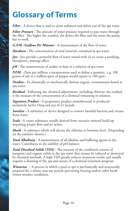# **Glossary of Terms**

*Filter -* A device that is used to clean sediment and debris out of the spa water.

*Filter Pressure* - The amount of water pressure required to pass water through the filter. The higher the number, the dirtier the filter and the more the pump has to work.

*G.P.M. (Gallons Per Minute)* - A measurement of the flow of water.

*Hardness* - The concentration of total minerals contained in spa water.

*Jets* - Jets provide a powerful flow of water mixed with air to create a soothing, therapeutic, massage effect.

 $pH$  - The measurement of acidity or base in a solution of spa water

*P.P.M.* - Parts per million; a measurement used to define a quantity, e.g. 100 grains of salt in a million specs of pepper would equate to 100 ppm.

**Oxidize** - To chemically or mechanically destroy organic contaminants found in spa water.

*Residual -* Following any chemical adjustments, including chlorine, the residual is the measure of the concentration of a chemical remaining in solution.

*Signature Product -* A proprietary product manufactured or produced exclusively by/for Oreq and any of it's brands.

*Sanitize -* A substance or device designed to remove harmful bacteria and viruses from water.

*Scale -* A crusty substance usually derived from excessive mineral build-up impairing proper flow and jet action

*Shock -* A substance which will elevate the chlorine or bromine level. (Depending on the sanitizer chosen.)

**Total Alkalinity -** A measurement of all alkaline and buffering agents in the water. Contributes to the stability of pH balance.

Total Dissolved Solids (TDS) - The measure of the combined content of inorganic and organic solids in the spa water that cannot be reduced or destroyed by chemical methods. A high TDS greatly reduces treatment results and usually requires a draining of the spa and restart of a chemical treatment program.

*Winterize* - A process in which a pool or spa is mechanically and structurally prepared for a winter non-use period, preventing freezing and/or other harsh winter weather conditions.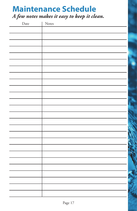**Maintenance Schedule**

*A few notes makes it easy to keep it clean.*

| Date | Notes |
|------|-------|
|      |       |
|      |       |
|      |       |
|      |       |
|      |       |
|      |       |
|      |       |
|      |       |
|      |       |
|      |       |
|      |       |
|      |       |
|      |       |
|      |       |
|      |       |
|      |       |
|      |       |
|      |       |
|      |       |
|      |       |
|      |       |
|      |       |
|      |       |
|      |       |
|      |       |
|      |       |